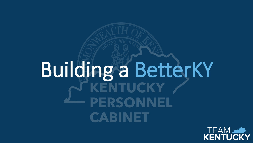# Building a BetterKY **PERSONNEL CABINET**

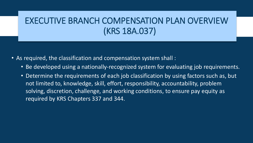#### EXECUTIVE BRANCH COMPENSATION PLAN OVERVIEW (KRS 18A.037)

- As required, the classification and compensation system shall :
	- Be developed using a nationally-recognized system for evaluating job requirements.
	- Determine the requirements of each job classification by using factors such as, but not limited to, knowledge, skill, effort, responsibility, accountability, problem solving, discretion, challenge, and working conditions, to ensure pay equity as required by KRS Chapters 337 and 344.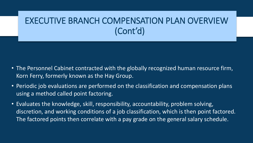#### EXECUTIVE BRANCH COMPENSATION PLAN OVERVIEW (Cont'd)

- The Personnel Cabinet contracted with the globally recognized human resource firm, Korn Ferry, formerly known as the Hay Group.
- Periodic job evaluations are performed on the classification and compensation plans using a method called point factoring.
- Evaluates the knowledge, skill, responsibility, accountability, problem solving, discretion, and working conditions of a job classification, which is then point factored. The factored points then correlate with a pay grade on the general salary schedule.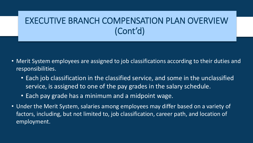#### EXECUTIVE BRANCH COMPENSATION PLAN OVERVIEW (Cont'd)

- Merit System employees are assigned to job classifications according to their duties and responsibilities.
	- Each job classification in the classified service, and some in the unclassified service, is assigned to one of the pay grades in the salary schedule.
	- Each pay grade has a minimum and a midpoint wage.
- Under the Merit System, salaries among employees may differ based on a variety of factors, including, but not limited to, job classification, career path, and location of employment.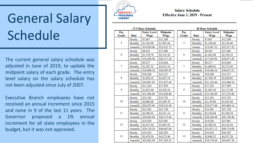## General Salary Schedule

The current general salary schedule was adjusted in June of 2019, to update the midpoint salary of each grade. The entry level salary on the salary schedule has not been adjusted since July of 2007.

Executive Branch employees have not received an annual increment since 2015 and none in 9 of the last 11 years. The Governor proposed a 1% annual increment for all state employees in the budget, but it was not approved.



#### **Salary Schedule Effective June 1, 2019 - Present**

| 37.5 Hour Schedule |          |                            |                         |    | <b>40 Hour Schedule</b> |             |                                                                                                                                        |                         |  |
|--------------------|----------|----------------------------|-------------------------|----|-------------------------|-------------|----------------------------------------------------------------------------------------------------------------------------------------|-------------------------|--|
| Pay<br>Grade       | Rate     | <b>Entry Level</b><br>Wage | <b>Midpoint</b><br>Wage |    | Pay<br>Grade            | Rate        | <b>Entry Level</b><br>Wage                                                                                                             | <b>Midpoint</b><br>Wage |  |
| 5                  | Hourly   | \$7.667                    | \$12.268                |    | 5                       | Hourly      | \$7.667                                                                                                                                | \$12.268                |  |
|                    | Monthly  | \$1,245.90                 | \$1,993.56              |    |                         | Monthly     | \$1,328.96                                                                                                                             | \$2,126.46              |  |
|                    | Annually | \$14,950.80                | \$23,922.72             |    |                         | Annual      | \$15,947.52                                                                                                                            | \$25,517.52             |  |
| 6                  | Hourly   | \$8.435                    | \$13.496                |    |                         | Hourly      | \$8.435                                                                                                                                | \$13.496                |  |
|                    | Monthly  | \$1,370.70                 | \$2,193.10              | 6  | Monthly                 | \$1,462.08  | \$2,339.32                                                                                                                             |                         |  |
|                    | Annually | \$16,448.40                | \$26,317.20             |    | Annually                | \$17,544.96 | \$28,071.84                                                                                                                            |                         |  |
|                    | Hourly   | \$9.277                    | \$14.844                |    | 7                       | Hourly      | \$9.277                                                                                                                                | \$14.844                |  |
| 7                  | Monthly  | \$1,507.52                 | \$2,412.16              |    |                         | Monthly     | \$1,608.02                                                                                                                             | \$2,572.96              |  |
|                    | Annually | \$18,090.24                | \$28,945.92             |    | Annually                | \$19,296.24 | \$30,875.52                                                                                                                            |                         |  |
| 8                  | Hourly   | \$10.204                   | \$16.327                |    |                         | Hourly      | \$10.204                                                                                                                               | \$16.327                |  |
|                    | Monthly  | \$1,658.16                 | \$2,653.14              | 8  | Monthly                 | \$1,768.70  | \$2,830.02                                                                                                                             |                         |  |
|                    | Annually | \$19,897.92                | \$31,837.68             |    | Annually                | \$21,224.40 | \$33,960.24                                                                                                                            |                         |  |
| 9                  | Hourly   | \$11.224                   | \$17.959                |    |                         | Hourly      | \$11.224                                                                                                                               | \$17.959                |  |
|                    | Monthly  | \$1,823.90                 | \$2,918.34              | 9  | Monthly                 | \$1,945.50  | \$3,112.90                                                                                                                             |                         |  |
|                    | Annually | \$21,886.80                | \$35,020.08             |    | Annually                | \$23,346.00 | \$37,354.80                                                                                                                            |                         |  |
| 10                 | Hourly   | \$12.345                   | \$19.752                |    |                         | Hourly      | \$12.345                                                                                                                               | \$19.752                |  |
|                    | Monthly  | \$2,006.08                 | \$3,209.70              | 10 | Monthly                 | \$2,139.80  | \$3,423.68                                                                                                                             |                         |  |
|                    | Annually | \$24,072.96                | \$38,516.40             |    |                         | Annually    | \$25,677.60<br>\$13.581<br>\$2,354.04<br>\$28,248.48<br>\$14.938<br>\$2,589.26<br>\$31,071.12<br>\$16.432<br>\$2,848.22<br>\$34,178.64 | \$41,084.16             |  |
| 11                 | Hourly   | \$13.581                   | \$21.730                |    |                         | Hourly      |                                                                                                                                        | \$21.730                |  |
|                    | Monthly  | \$2,206.92                 | \$3,531.14              | 11 | Monthly                 |             | \$3,766.54                                                                                                                             |                         |  |
|                    | Annually | \$26,483.04                | \$42,373.68             |    | Annually                |             | \$45,198.48                                                                                                                            |                         |  |
| 12                 | Hourly   | \$14.938                   | \$23.901                |    |                         | Hourly      |                                                                                                                                        | \$23.901                |  |
|                    | Monthly  | \$2,427.44                 | \$3,883.92              | 12 | Monthly                 |             | \$4,142.84                                                                                                                             |                         |  |
|                    | Annually | \$29,129.28                | \$46,607.04             |    | Annually                |             | \$49,714.08                                                                                                                            |                         |  |
| 13                 | Hourly   | \$16.432                   | \$26.292                |    |                         | Hourly      |                                                                                                                                        | \$26.292                |  |
|                    | Monthly  | \$2,670.20                 | \$4,272.46              | 13 | Monthly                 |             | \$4,557.28                                                                                                                             |                         |  |
|                    | Annually | \$32,042.40                | \$51,269.52             |    | Annually                |             | \$54,687.36                                                                                                                            |                         |  |
|                    |          |                            |                         |    |                         |             |                                                                                                                                        |                         |  |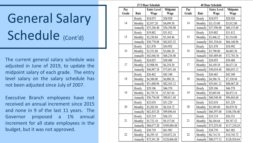## General Salary Schedule (Cont'd)

The current general salary schedule was adjusted in June of 2019, to update the midpoint salary of each grade. The entry level salary on the salary schedule has not been adjusted since July of 2007.

Executive Branch employees have not received an annual increment since 2015 and none in 9 of the last 11 years. The Governor proposed a 1% annual increment for all state employees in the budget, but it was not approved.

| 37.5 Hour Schedule |          |                    |                 |    | <b>40 Hour Schedule</b> |             |                    |                 |  |
|--------------------|----------|--------------------|-----------------|----|-------------------------|-------------|--------------------|-----------------|--|
| Pay                |          | <b>Entry Level</b> | <b>Midpoint</b> |    | Pay                     |             | <b>Entry Level</b> | <b>Midpoint</b> |  |
| Grade              | Rate     | Wage               | Wage            |    | Grade                   | Rate        | Wage               | Wage            |  |
| 14                 | Hourly   | \$18.075           | \$28.920        |    | Hourly                  | \$18.075    | \$28.920           |                 |  |
|                    | Monthly  | \$2,937.20         | \$4,699.50      |    | 14                      | Monthly     | \$3,133.00         | \$5,012.80      |  |
|                    | Annually | \$35,246.40        | \$56,394.00     |    |                         | Annually    | \$37,596.00        | \$60,153.60     |  |
| 15                 | Hourly   | \$19.882           | \$31.812        |    |                         | Hourly      | \$19.882           | \$31.812        |  |
|                    | Monthly  | \$3,230.84         | \$5,169.46      | 15 | Monthly                 | \$3,446.22  | \$5,514.08         |                 |  |
|                    | Annually | \$38,770.08        | \$62,033.52     |    | Annually                | \$41,354.64 | \$66,168.96        |                 |  |
| 16                 | Hourly   | \$21.870           | \$34.992        | 16 | Hourly                  | \$21.870    | \$34.992           |                 |  |
|                    | Monthly  | \$3,553.88         | \$5,686.20      |    | Monthly                 | \$3,790.80  | \$6,065.28         |                 |  |
|                    | Annually | \$42,646.56        | \$68,234.40     |    | Annually                | \$45,489.60 | \$72,783.36        |                 |  |
| 17                 | Hourly   | \$24.055           | \$38.488        |    |                         | Hourly      | \$24.055           | \$38.488        |  |
|                    | Monthly  | \$3,908.94         | \$6,254.30      | 17 | Monthly                 | \$4,169.54  | \$6,671.26         |                 |  |
|                    | Annually | \$46,907.28        | \$75,051.60     |    | Annually                | \$50,034.48 | \$80,055.12        |                 |  |
| 18                 | Hourly   | \$26.462           | \$42.340        |    |                         | Hourly      | \$26.462           | \$42.340        |  |
|                    | Monthly  | \$4,300.08         | \$6,880.26      | 18 | Monthly                 | \$4,586.76  | \$7,338.94         |                 |  |
|                    | Annually | \$51,600.96        | \$82,563.12     |    | Annually                | \$55,041.12 | \$88,067.28        |                 |  |
| 19                 | Hourly   | \$29.106           | \$46.570        | 19 | Hourly                  | \$29.106    | \$46.570           |                 |  |
|                    | Monthly  | \$4,729.74         | \$7,567.64      |    | Monthly                 | \$5,045.04  | \$8,072.14         |                 |  |
|                    | Annually | \$56,756.88        | \$90,811.68     |    |                         | Annually    | \$60,540.48        | \$96,865.68     |  |
|                    | Hourly   | \$32.018           | \$51.229        | 20 | Hourly                  | \$32.018    | \$51.229           |                 |  |
| 20                 | Monthly  | \$5,202.94         | \$8,324.72      |    | Monthly                 | \$5,549.80  | \$8,879.70         |                 |  |
|                    | Annually | \$62,435.28        | \$99,896.64     |    | Annually                | \$66,597.60 | \$106,556.40       |                 |  |
| 21                 | Hourly   | \$35.219           | \$56.351        | 21 | Hourly                  | \$35.219    | \$56.351           |                 |  |
|                    | Monthly  | \$5,723.10         | \$9,157.04      |    | Monthly                 | \$6,104.64  | \$9,767.52         |                 |  |
|                    | Annually | \$68,677.20        | \$109,884.48    |    |                         | Annually    | \$73,255.68        | \$117,210.24    |  |
|                    | Hourly   | \$38.739           | \$61.983        | 22 | Hourly                  | \$38.739    | \$61.983           |                 |  |
| 22                 | Monthly  | \$6,295.10         | \$10,072.24     |    | Monthly                 | \$6,714.76  | \$10,743.72        |                 |  |
|                    | Annually | \$75,541.20        | \$120,866.88    |    |                         | Annually    | \$80,577.12        | \$128,924.64    |  |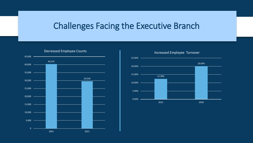#### Challenges Facing the Executive Branch



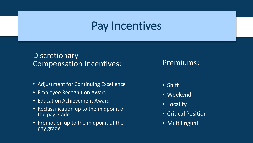### Pay Incentives

#### **Discretionary** Compensation Incentives:

- Adjustment for Continuing Excellence
- Employee Recognition Award
- Education Achievement Award
- Reclassification up to the midpoint of the pay grade
- Promotion up to the midpoint of the pay grade

#### Premiums:

- Shift
- Weekend
- Locality
- Critical Position
- Multilingual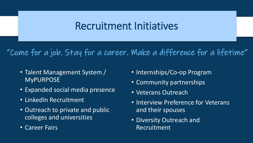### Recruitment Initiatives

"Come for a job. Stay for a career. Make a difference for a lifetime"

- Talent Management System / MyPURPOSE
- Expanded social media presence
- LinkedIn Recruitment
- Outreach to private and public colleges and universities
- Career Fairs
- Internships/Co-op Program
- Community partnerships
- Veterans Outreach
- Interview Preference for Veterans and their spouses
- Diversity Outreach and Recruitment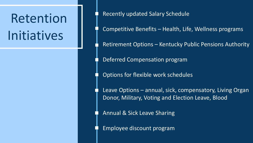### Retention Initiatives

• Recently updated Salary Schedule

• Competitive Benefits – Health, Life, Wellness programs

• Retirement Options – Kentucky Public Pensions Authority

• Deferred Compensation program

• Options for flexible work schedules

Leave Options – annual, sick, compensatory, Living Organ Donor, Military, Voting and Election Leave, Blood

• Annual & Sick Leave Sharing

• Employee discount program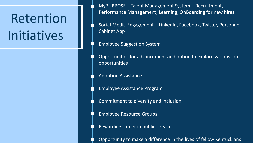## Retention Initiatives

• MyPURPOSE – Talent Management System – Recruitment, Performance Management, Learning, OnBoarding for new hires

• Social Media Engagement – LinkedIn, Facebook, Twitter, Personnel Cabinet App

• Employee Suggestion System

• Opportunities for advancement and option to explore various job opportunities

• Adoption Assistance

• Employee Assistance Program

• Commitment to diversity and inclusion

• Employee Resource Groups

• Rewarding career in public service

• Opportunity to make a difference in the lives of fellow Kentuckians